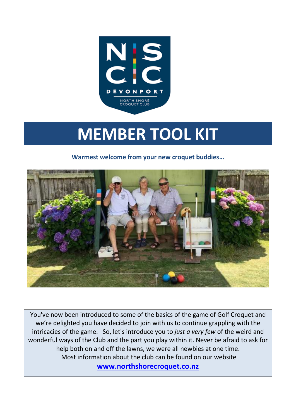

# **MEMBER TOOL KIT**

**Warmest welcome from your new croquet buddies…**



You've now been introduced to some of the basics of the game of Golf Croquet and we're delighted you have decided to join with us to continue grappling with the intricacies of the game. So, let's introduce you to *just a very few* of the weird and wonderful ways of the Club and the part you play within it. Never be afraid to ask for help both on and off the lawns, we were all newbies at one time. Most information about the club can be found on our website **[www.northshorecroquet.co.nz](http://www.northshorecroquet.co.nz/)**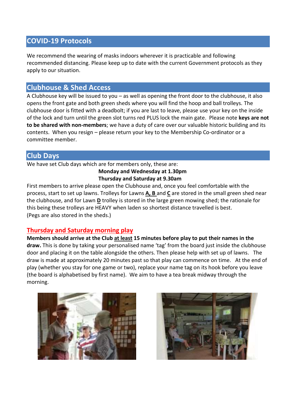# **COVID-19 Protocols**

We recommend the wearing of masks indoors wherever it is practicable and following recommended distancing. Please keep up to date with the current Government protocols as they apply to our situation.

# **Clubhouse & Shed Access**

A Clubhouse key will be issued to you *–* as well as opening the front door to the clubhouse, it also opens the front gate and both green sheds where you will find the hoop and ball trolleys. The clubhouse door is fitted with a deadbolt; if you are last to leave, please use your key on the inside of the lock and turn until the green slot turns red PLUS lock the main gate. Please note **keys are not to be shared with non-members**; we have a duty of care over our valuable historic building and its contents. When you resign – please return your key to the Membership Co-ordinator or a committee member.

# **Club Days**

We have set Club days which are for members only, these are:

#### **Monday and Wednesday at 1.30pm Thursday and Saturday at 9.30am**

First members to arrive please open the Clubhouse and, once you feel comfortable with the process, start to set up lawns. Trolleys for Lawns **A, B** and **C** are stored in the small green shed near the clubhouse, and for Lawn **D** trolley is stored in the large green mowing shed; the rationale for this being these trolleys are HEAVY when laden so shortest distance travelled is best. (Pegs are also stored in the sheds.)

# **Thursday and Saturday morning play**

**Members should arrive at the Club at least 15 minutes before play to put their names in the draw.** This is done by taking your personalised name 'tag' from the board just inside the clubhouse door and placing it on the table alongside the others. Then please help with set up of lawns. The draw is made at approximately 20 minutes past so that play can commence on time. At the end of play (whether you stay for one game or two), replace your name tag on its hook before you leave (the board is alphabetised by first name). We aim to have a tea break midway through the morning.



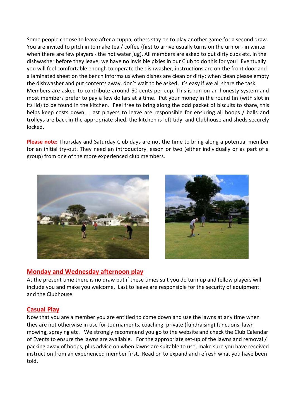Some people choose to leave after a cuppa, others stay on to play another game for a second draw. You are invited to pitch in to make tea / coffee (first to arrive usually turns on the urn or - in winter when there are few players - the hot water jug). All members are asked to put dirty cups etc. in the dishwasher before they leave; we have no invisible pixies in our Club to do this for you! Eventually you will feel comfortable enough to operate the dishwasher, instructions are on the front door and a laminated sheet on the bench informs us when dishes are clean or dirty; when clean please empty the dishwasher and put contents away, don't wait to be asked, it's easy if we all share the task. Members are asked to contribute around 50 cents per cup. This is run on an honesty system and most members prefer to pay a few dollars at a time. Put your money in the round tin (with slot in its lid) to be found in the kitchen. Feel free to bring along the odd packet of biscuits to share, this helps keep costs down. Last players to leave are responsible for ensuring all hoops / balls and trolleys are back in the appropriate shed, the kitchen is left tidy, and Clubhouse and sheds securely locked.

**Please note:** Thursday and Saturday Club days are not the time to bring along a potential member for an initial try-out. They need an introductory lesson or two (either individually or as part of a group) from one of the more experienced club members.





## **Monday and Wednesday afternoon play**

At the present time there is no draw but if these times suit you do turn up and fellow players will include you and make you welcome. Last to leave are responsible for the security of equipment and the Clubhouse.

## **Casual Play**

Now that you are a member you are entitled to come down and use the lawns at any time when they are not otherwise in use for tournaments, coaching, private (fundraising) functions, lawn mowing, spraying etc. We strongly recommend you go to the website and check the Club Calendar of Events to ensure the lawns are available. For the appropriate set-up of the lawns and removal / packing away of hoops, plus advice on when lawns are suitable to use, make sure you have received instruction from an experienced member first. Read on to expand and refresh what you have been told.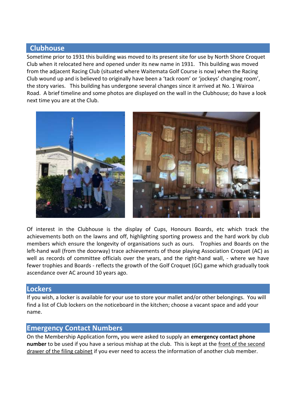## **Clubhouse**

Sometime prior to 1931 this building was moved to its present site for use by North Shore Croquet Club when it relocated here and opened under its new name in 1931. This building was moved from the adjacent Racing Club (situated where Waitemata Golf Course is now) when the Racing Club wound up and is believed to originally have been a 'tack room' or 'jockeys' changing room', the story varies. This building has undergone several changes since it arrived at No. 1 Wairoa Road. A brief timeline and some photos are displayed on the wall in the Clubhouse; do have a look next time you are at the Club.



Of interest in the Clubhouse is the display of Cups, Honours Boards, etc which track the achievements both on the lawns and off, highlighting sporting prowess and the hard work by club members which ensure the longevity of organisations such as ours. Trophies and Boards on the left-hand wall (from the doorway) trace achievements of those playing Association Croquet (AC) as well as records of committee officials over the years, and the right-hand wall, - where we have fewer trophies and Boards - reflects the growth of the Golf Croquet (GC) game which gradually took ascendance over AC around 10 years ago.

## **Lockers**

If you wish, a locker is available for your use to store your mallet and/or other belongings. You will find a list of Club lockers on the noticeboard in the kitchen; choose a vacant space and add your name.

# **Emergency Contact Numbers**

On the Membership Application form**,** you were asked to supply an **emergency contact phone number** to be used if you have a serious mishap at the club. This is kept at the front of the second drawer of the filing cabinet if you ever need to access the information of another club member.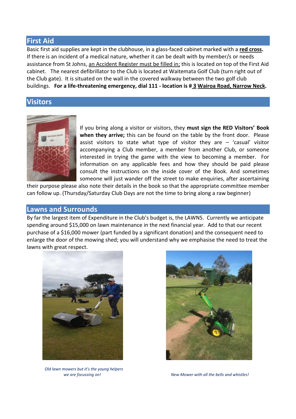## **First Aid**

Basic first aid supplies are kept in the clubhouse, in a glass-faced cabinet marked with a **red cross.** If there is an incident of a medical nature, whether it can be dealt with by member/s or needs assistance from St Johns, an Accident Register must be filled in; this is located on top of the First Aid cabinet. The nearest defibrillator to the Club is located at Waitemata Golf Club (turn right out of the Club gate). It is situated on the wall in the covered walkway between the two golf club buildings. **For a life-threatening emergency, dial 111 - location is # 3 Wairoa Road, Narrow Neck.** 

## **Visitors**



If you bring along a visitor or visitors, they **must sign the RED Visitors' Book when they arrive;** this can be found on the table by the front door. Please assist visitors to state what type of visitor they are  $-$  'casual' visitor accompanying a Club member, a member from another Club, or someone interested in trying the game with the view to becoming a member. For information on any applicable fees and how they should be paid please consult the instructions on the inside cover of the Book. And sometimes someone will just wander off the street to make enquiries, after ascertaining

their purpose please also note their details in the book so that the appropriate committee member can follow up. (Thursday/Saturday Club Days are not the time to bring along a raw beginner)

## **Lawns and Surrounds**

By far the largest item of Expenditure in the Club's budget is, the LAWNS. Currently we anticipate spending around \$15,000 on lawn maintenance in the next financial year. Add to that our recent purchase of a \$16,000 mower (part funded by a significant donation) and the consequent need to enlarge the door of the mowing shed; you will understand why we emphasise the need to treat the lawns with great respect.



*Old lawn mowers but it's the young helpers*



*we are focussing on! New Mower with all the bells and whistles!*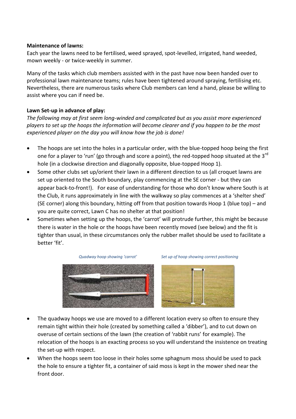#### **Maintenance of lawns:**

Each year the lawns need to be fertilised, weed sprayed, spot-levelled, irrigated, hand weeded, mown weekly - or twice-weekly in summer.

Many of the tasks which club members assisted with in the past have now been handed over to professional lawn maintenance teams; rules have been tightened around spraying, fertilising etc. Nevertheless, there are numerous tasks where Club members can lend a hand, please be willing to assist where you can if need be.

#### **Lawn Set-up in advance of play:**

*The following may at first seem long-winded and complicated but as you assist more experienced players to set up the hoops the information will become clearer and if you happen to be the most experienced player on the day you will know how the job is done!* 

- The hoops are set into the holes in a particular order, with the blue-topped hoop being the first one for a player to 'run' (go through and score a point), the red-topped hoop situated at the 3<sup>rd</sup> hole (in a clockwise direction and diagonally opposite, blue-topped Hoop 1).
- Some other clubs set up/orient their lawn in a different direction to us (all croquet lawns are set up oriented to the South boundary, play commencing at the SE corner - but they can appear back-to-front!). For ease of understanding for those who don't know where South is at the Club, it runs approximately in line with the walkway so play commences at a 'shelter shed' (SE corner) along this boundary, hitting off from that position towards Hoop 1 (blue top) – and you are quite correct, Lawn C has no shelter at that position!
- Sometimes when setting up the hoops, the 'carrot' will protrude further, this might be because there is water in the hole or the hoops have been recently moved (see below) and the fit is tighter than usual, in these circumstances only the rubber mallet should be used to facilitate a better 'fit'.



 *Quadway hoop showing 'carrot' Set up of hoop showing correct positioning* 



- The quadway hoops we use are moved to a different location every so often to ensure they remain tight within their hole (created by something called a 'dibber'), and to cut down on overuse of certain sections of the lawn (the creation of 'rabbit runs' for example). The relocation of the hoops is an exacting process so you will understand the insistence on treating the set-up with respect.
- When the hoops seem too loose in their holes some sphagnum moss should be used to pack the hole to ensure a tighter fit, a container of said moss is kept in the mower shed near the front door.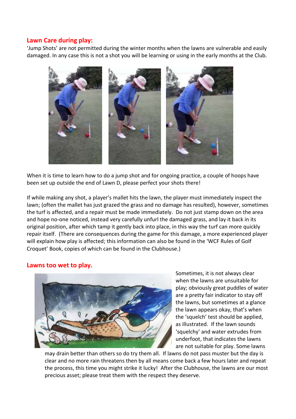## **Lawn Care during play:**

'Jump Shots' are not permitted during the winter months when the lawns are vulnerable and easily damaged. In any case this is not a shot you will be learning or using in the early months at the Club.



When it is time to learn how to do a jump shot and for ongoing practice, a couple of hoops have been set up outside the end of Lawn D, please perfect your shots there!

If while making any shot, a player's mallet hits the lawn, the player must immediately inspect the lawn; (often the mallet has just grazed the grass and no damage has resulted), however, sometimes the turf is affected, and a repair must be made immediately. Do not just stamp down on the area and hope no-one noticed, instead very carefully unfurl the damaged grass, and lay it back in its original position, after which tamp it gently back into place, in this way the turf can more quickly repair itself. (There are consequences during the game for this damage, a more experienced player will explain how play is affected; this information can also be found in the 'WCF Rules of Golf Croquet' Book, copies of which can be found in the Clubhouse.)

#### **Lawns too wet to play.**



Sometimes, it is not always clear when the lawns are unsuitable for play; obviously great puddles of water are a pretty fair indicator to stay off the lawns, but sometimes at a glance the lawn appears okay, that's when the 'squelch' test should be applied, as illustrated. If the lawn sounds 'squelchy' and water extrudes from underfoot, that indicates the lawns are not suitable for play. Some lawns

may drain better than others so do try them all. If lawns do not pass muster but the day is clear and no more rain threatens then by all means come back a few hours later and repeat the process, this time you might strike it lucky! After the Clubhouse, the lawns are our most precious asset; please treat them with the respect they deserve.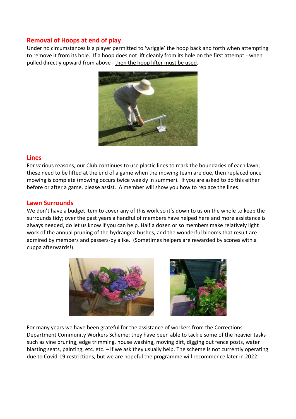## **Removal of Hoops at end of play**

Under no circumstances is a player permitted to 'wriggle' the hoop back and forth when attempting to remove it from its hole. If a hoop does not lift cleanly from its hole on the first attempt - when pulled directly upward from above - then the hoop lifter must be used.



## **Lines**

For various reasons, our Club continues to use plastic lines to mark the boundaries of each lawn; these need to be lifted at the end of a game when the mowing team are due, then replaced once mowing is complete (mowing occurs twice weekly in summer). If you are asked to do this either before or after a game, please assist. A member will show you how to replace the lines.

#### **Lawn Surrounds**

We don't have a budget item to cover any of this work so it's down to us on the whole to keep the surrounds tidy; over the past years a handful of members have helped here and more assistance is always needed, do let us know if you can help. Half a dozen or so members make relatively light work of the annual pruning of the hydrangea bushes, and the wonderful blooms that result are admired by members and passers-by alike. (Sometimes helpers are rewarded by scones with a cuppa afterwards!).



For many years we have been grateful for the assistance of workers from the Corrections Department Community Workers Scheme; they have been able to tackle some of the heavier tasks such as vine pruning, edge trimming, house washing, moving dirt, digging out fence posts, water blasting seats, painting, etc. etc. – if we ask they usually help. The scheme is not currently operating due to Covid-19 restrictions, but we are hopeful the programme will recommence later in 2022.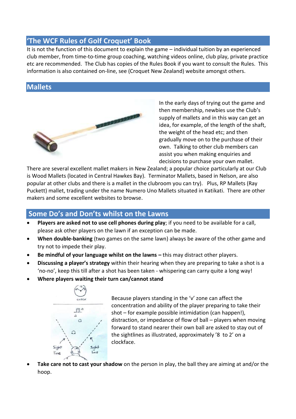# **'The WCF Rules of Golf Croquet' Book**

It is not the function of this document to explain the game – individual tuition by an experienced club member, from time-to-time group coaching, watching videos online, club play, private practice etc are recommended. The Club has copies of the Rules Book if you want to consult the Rules. This information is also contained on-line, see (Croquet New Zealand) website amongst others.

# **Mallets**



In the early days of trying out the game and then membership, newbies use the Club's supply of mallets and in this way can get an idea, for example, of the length of the shaft, the weight of the head etc; and then gradually move on to the purchase of their own. Talking to other club members can assist you when making enquiries and decisions to purchase your own mallet.

There are several excellent mallet makers in New Zealand; a popular choice particularly at our Club is Wood Mallets (located in Central Hawkes Bay). Terminator Mallets, based in Nelson, are also popular at other clubs and there is a mallet in the clubroom you can try). Plus, RP Mallets (Ray Puckett) mallet, trading under the name Numero Uno Mallets situated in Katikati. There are other makers and some excellent websites to browse.

# **Some Do's and Don'ts whilst on the Lawns**

- **Players are asked not to use cell phones during play**; if you need to be available for a call, please ask other players on the lawn if an exception can be made.
- **When double-banking** (two games on the same lawn) always be aware of the other game and try not to impede their play.
- **Be mindful of your language whilst on the lawns this may distract other players.**
- **Discussing a player's strategy** within their hearing when they are preparing to take a shot is a 'no-no', keep this till after a shot has been taken - whispering can carry quite a long way!
- **Where players waiting their turn can/cannot stand**



Because players standing in the 'v' zone can affect the concentration and ability of the player preparing to take their shot – for example possible intimidation (can happen!), distraction, or impedance of flow of ball – players when moving forward to stand nearer their own ball are asked to stay out of the sightlines as illustrated, approximately '8 to 2' on a clockface.

 **Take care not to cast your shadow** on the person in play, the ball they are aiming at and/or the hoop.